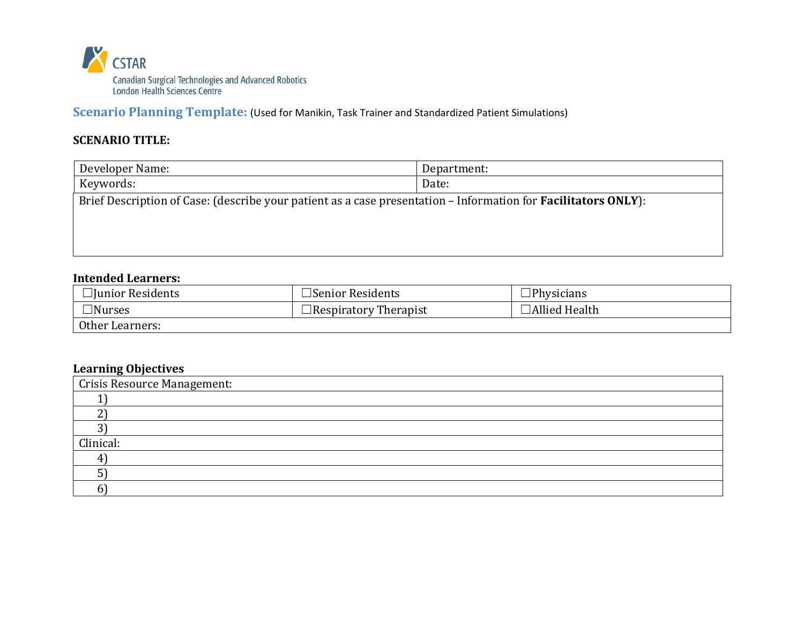

**Scenario Planning Template:** (Used for Manikin, Task Trainer and Standardized Patient Simulations)

## **SCENARIO TITLE:**

| Developer Name:                                                                                                        | Department: |  |
|------------------------------------------------------------------------------------------------------------------------|-------------|--|
| Keywords:                                                                                                              | Date:       |  |
| Brief Description of Case: (describe your patient as a case presentation – Information for <b>Facilitators ONLY</b> ): |             |  |
|                                                                                                                        |             |  |
|                                                                                                                        |             |  |
|                                                                                                                        |             |  |

### **Intended Learners:**

| $\Box$ Junior Residents | $\Box$ Senior Residents      | $\Box$ Physicians    |
|-------------------------|------------------------------|----------------------|
| $\Box$ Nurses           | $\Box$ Respiratory Therapist | <b>Allied Health</b> |
| Other Learners:         |                              |                      |

#### **Learning Objectives**

| Crisis Resource Management: |
|-----------------------------|
|                             |
|                             |
|                             |
| Clinical:                   |
|                             |
|                             |
|                             |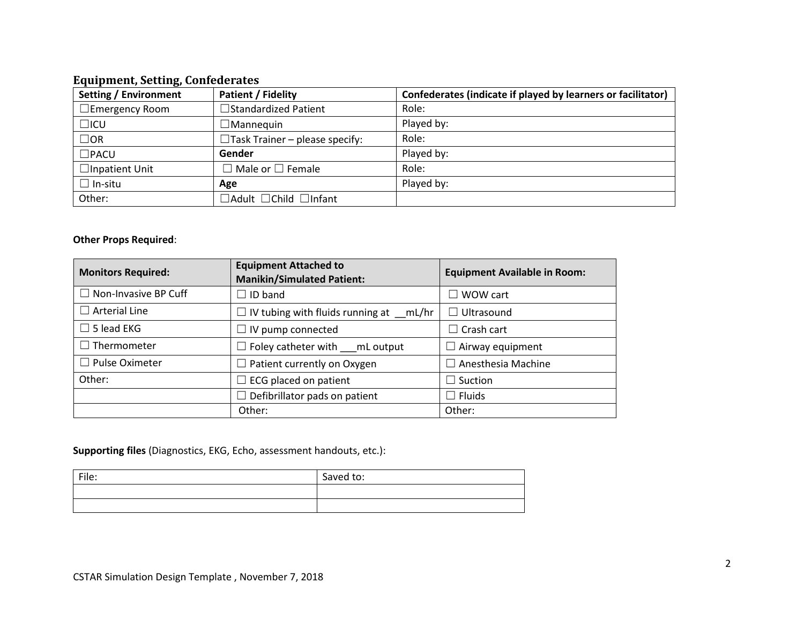#### **Equipment, Setting, Confederates**

| <b>Setting / Environment</b> | <b>Patient / Fidelity</b>               | Confederates (indicate if played by learners or facilitator) |
|------------------------------|-----------------------------------------|--------------------------------------------------------------|
| $\Box$ Emergency Room        | □Standardized Patient                   | Role:                                                        |
| $\Box$ ICU                   | $\Box$ Mannequin                        | Played by:                                                   |
| $\Box$ OR                    | $\Box$ Task Trainer – please specify:   | Role:                                                        |
| $\square$ PACU               | Gender                                  | Played by:                                                   |
| $\Box$ Inpatient Unit        | $\Box$ Male or $\Box$ Female            | Role:                                                        |
| $\Box$ In-situ               | Age                                     | Played by:                                                   |
| Other:                       | $\Box$ Adult $\Box$ Child $\Box$ Infant |                                                              |

#### **Other Props Required**:

| <b>Monitors Required:</b>   | <b>Equipment Attached to</b><br><b>Manikin/Simulated Patient:</b> | <b>Equipment Available in Room:</b> |
|-----------------------------|-------------------------------------------------------------------|-------------------------------------|
| $\Box$ Non-Invasive BP Cuff | $\Box$ ID band                                                    | $\Box$ WOW cart                     |
| $\Box$ Arterial Line        | $\Box$ IV tubing with fluids running at mL/hr                     | $\Box$ Ultrasound                   |
| $\Box$ 5 lead EKG           | $\Box$ IV pump connected                                          | $\Box$ Crash cart                   |
| $\Box$ Thermometer          | $\Box$ Foley catheter with $\Box$ mL output                       | Airway equipment                    |
| $\Box$ Pulse Oximeter       | $\Box$ Patient currently on Oxygen<br>Anesthesia Machine          |                                     |
| Other:                      | $\Box$ ECG placed on patient<br>$\Box$ Suction                    |                                     |
|                             | Defibrillator pads on patient<br>$\overline{\phantom{a}}$         | $\Box$ Fluids                       |
|                             | Other:                                                            | Other:                              |

#### **Supporting files** (Diagnostics, EKG, Echo, assessment handouts, etc.):

| File: | Saved to: |
|-------|-----------|
|       |           |
|       |           |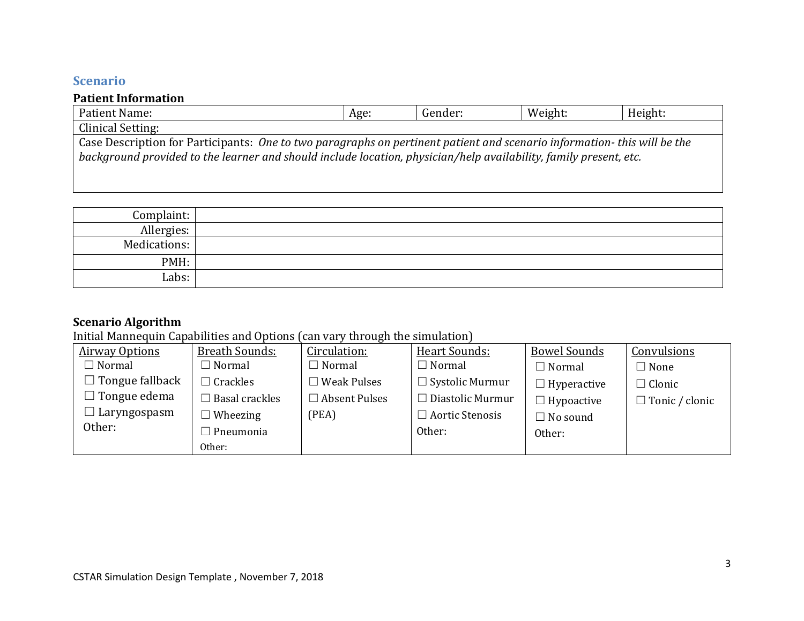# **Scenario**

## **Patient Information**

| Patient Name:                                                                                                            | Age: | Gender: | Weight: | Height: |
|--------------------------------------------------------------------------------------------------------------------------|------|---------|---------|---------|
| Clinical Setting:                                                                                                        |      |         |         |         |
| Case Description for Participants: One to two paragraphs on pertinent patient and scenario information- this will be the |      |         |         |         |
| background provided to the learner and should include location, physician/help availability, family present, etc.        |      |         |         |         |

| Complaint:   |  |
|--------------|--|
| Allergies:   |  |
| Medications: |  |
| PMH:         |  |
| Labs:        |  |

# **Scenario Algorithm**

Initial Mannequin Capabilities and Options (can vary through the simulation)

| <b>Airway Options</b>  | Breath Sounds:        | Circulation:          | Heart Sounds:           | <b>Bowel Sounds</b> | Convulsions           |
|------------------------|-----------------------|-----------------------|-------------------------|---------------------|-----------------------|
| $\Box$ Normal          | $\Box$ Normal         | $\Box$ Normal         | $\Box$ Normal           | $\Box$ Normal       | $\Box$ None           |
| $\Box$ Tongue fallback | Crackles              | $\square$ Weak Pulses | $\Box$ Systolic Murmur  | $\Box$ Hyperactive  | $\Box$ Clonic         |
| $\Box$ Tongue edema    | $\Box$ Basal crackles | $\Box$ Absent Pulses  | $\Box$ Diastolic Murmur | $\Box$ Hypoactive   | $\Box$ Tonic / clonic |
| $\Box$ Laryngospasm    | $\Box$ Wheezing       | (PEA)                 | $\Box$ Aortic Stenosis  | $\Box$ No sound     |                       |
| Other:                 | $\Box$ Pneumonia      |                       | Other:                  | Other:              |                       |
|                        | Other:                |                       |                         |                     |                       |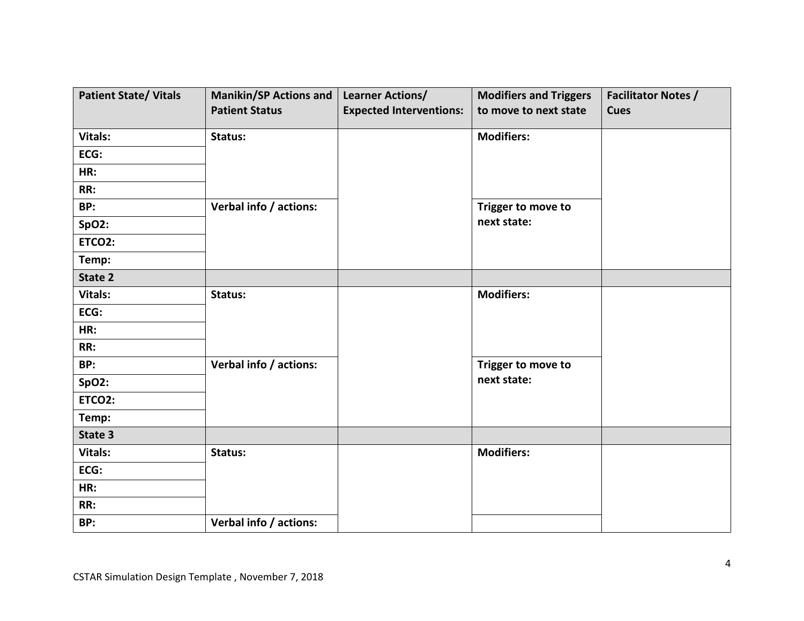| <b>Patient State/ Vitals</b> | <b>Manikin/SP Actions and</b> | <b>Learner Actions/</b>        | <b>Modifiers and Triggers</b> | <b>Facilitator Notes /</b> |
|------------------------------|-------------------------------|--------------------------------|-------------------------------|----------------------------|
|                              | <b>Patient Status</b>         | <b>Expected Interventions:</b> | to move to next state         | <b>Cues</b>                |
| Vitals:                      | Status:                       |                                | <b>Modifiers:</b>             |                            |
| ECG:                         |                               |                                |                               |                            |
| HR:                          |                               |                                |                               |                            |
| RR:                          |                               |                                |                               |                            |
| BP:                          | Verbal info / actions:        |                                | Trigger to move to            |                            |
| <b>SpO2:</b>                 |                               |                                | next state:                   |                            |
| ETCO2:                       |                               |                                |                               |                            |
| Temp:                        |                               |                                |                               |                            |
| State 2                      |                               |                                |                               |                            |
| Vitals:                      | Status:                       |                                | <b>Modifiers:</b>             |                            |
| ECG:                         |                               |                                |                               |                            |
| HR:                          |                               |                                |                               |                            |
| RR:                          |                               |                                |                               |                            |
| BP:                          | Verbal info / actions:        |                                | Trigger to move to            |                            |
| <b>SpO2:</b>                 |                               |                                | next state:                   |                            |
| ETCO2:                       |                               |                                |                               |                            |
| Temp:                        |                               |                                |                               |                            |
| State 3                      |                               |                                |                               |                            |
| <b>Vitals:</b>               | Status:                       |                                | <b>Modifiers:</b>             |                            |
| ECG:                         |                               |                                |                               |                            |
| HR:                          |                               |                                |                               |                            |
| RR:                          |                               |                                |                               |                            |
| BP:                          | Verbal info / actions:        |                                |                               |                            |